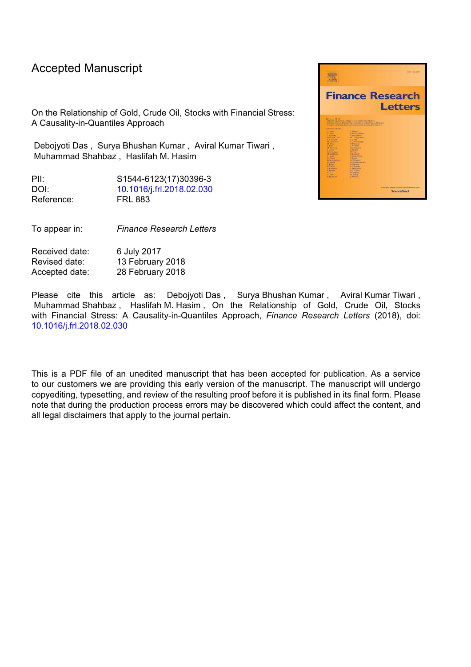# Accepted Manuscript

On the Relationship of Gold, Crude Oil, Stocks with Financial Stress: A Causality-in-Quantiles Approach

Debojyoti Das , Surya Bhushan Kumar , Aviral Kumar Tiwari , Muhammad Shahbaz , Haslifah M. Hasim

PII: S1544-6123(17)30396-3 DOI: 10.1016/j.frl.2018.02.030 Reference: FRL 883

To appear in: *Finance Research Letters*

Received date: 6 July 2017 Revised date: 13 February 2018 Accepted date: 28 February 2018

Please cite this article as: Debojyoti Das , Surya Bhushan Kumar , Aviral Kumar Tiwari , Muhammad Shahbaz , Haslifah M. Hasim , On the Relationship of Gold, Crude Oil, Stocks with Financial Stress: A Causality-in-Quantiles Approach, *Finance Research Letters* (2018), doi: 10.1016/j.frl.2018.02.030

This is a PDF file of an unedited manuscript that has been accepted for publication. As a service to our customers we are providing this early version of the manuscript. The manuscript will undergo copyediting, typesetting, and review of the resulting proof before it is published in its final form. Please note that during the production process errors may be discovered which could affect the content, and all legal disclaimers that apply to the journal pertain.

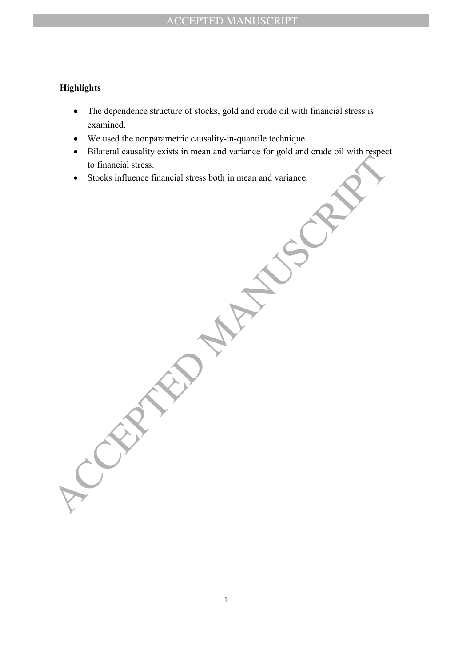# ACCEPTED MANUSCRIPT

## **Highlights**

- The dependence structure of stocks, gold and crude oil with financial stress is examined.
- We used the nonparametric causality-in-quantile technique.
- Bilateral causality exists in mean and variance for gold and crude oil with respect to financial stress.
- Stocks influence financial stress both in mean and variance.

Co financial stress.<br>
Stocks influence financial stress both in mean and variance.<br>
Stocks influence financial stress both in mean and variance.<br>
ACCEPTED MANUSCRIPT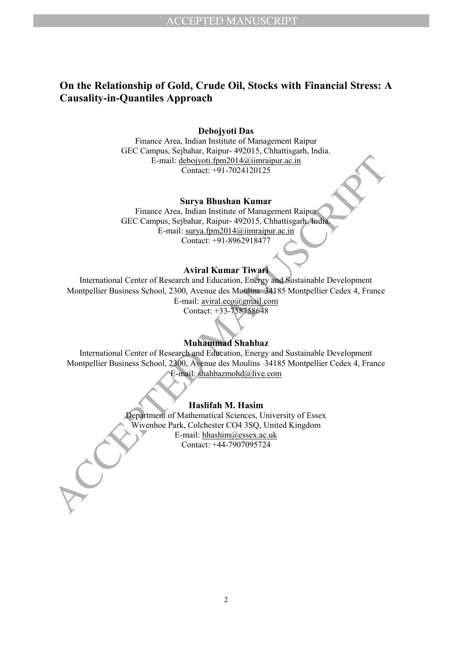# On the Relationship of Gold, Crude Oil, Stocks with Financial Stress: A Causality-in-Quantiles Approach

## Debojyoti Das

Finance Area, Indian Institute of Management Raipur GEC Campus, Sejbahar, Raipur- 492015, Chhattisgarh, India. E-mail: debojyoti.fpm2014@iimraipur.ac.in Contact: +91-7024120125

#### Surya Bhushan Kumar

Finance Area, Indian Institute of Management Raipur GEC Campus, Sejbahar, Raipur- 492015, Chhattisgarh, India. E-mail: surya.fpm2014@iimraipur.ac.in Contact: +91-8962918477

## Aviral Kumar Tiwari

Finance Access the Manuarity Contract (1971-7024120125)<br>
Surva Blueshan Kumar<br>
Surva Blueshan Kumar<br>
Circle Campus, Sejbahar, Kaipur- 492015, Chlaatisgand, Judit<br>
Finance Access the Manuarity of Manuarity Communication<br>
T International Center of Research and Education, Energy and Sustainable Development Montpellier Business School, 2300, Avenue des Moulins 34185 Montpellier Cedex 4, France E-mail: aviral.eco@gmail.com Contact: +33-758758648

## Muhammad Shahbaz

International Center of Research and Education, Energy and Sustainable Development Montpellier Business School, 2300, Avenue des Moulins 34185 Montpellier Cedex 4, France E-mail: shahbazmohd@live.com

## Haslifah M. Hasim

Department of Mathematical Sciences, University of Essex Wivenhoe Park, Colchester CO4 3SQ, United Kingdom E-mail: hhashim@essex.ac.uk Contact: +44-7907095724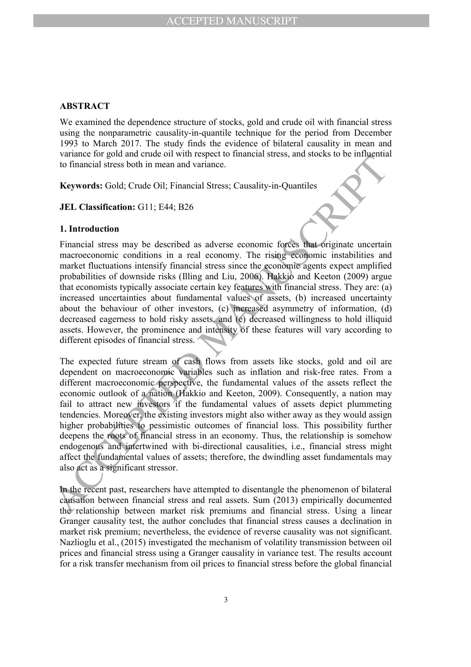## ABSTRACT

We examined the dependence structure of stocks, gold and crude oil with financial stress using the nonparametric causality-in-quantile technique for the period from December 1993 to March 2017. The study finds the evidence of bilateral causality in mean and variance for gold and crude oil with respect to financial stress, and stocks to be influential to financial stress both in mean and variance.

Keywords: Gold; Crude Oil; Financial Stress; Causality-in-Quantiles

## JEL Classification: G11; E44; B26

## 1. Introduction

Financial stress may be described as adverse economic forces that originate uncertain macroeconomic conditions in a real economy. The rising economic instabilities and market fluctuations intensify financial stress since the economic agents expect amplified probabilities of downside risks (Illing and Liu, 2006). Hakkio and Keeton (2009) argue that economists typically associate certain key features with financial stress. They are: (a) increased uncertainties about fundamental values of assets, (b) increased uncertainty about the behaviour of other investors, (c) increased asymmetry of information, (d) decreased eagerness to hold risky assets, and (e) decreased willingness to hold illiquid assets. However, the prominence and intensity of these features will vary according to different episodes of financial stress.

Variance to point and cloud conventions and the production of point and the minimum states and the minimum states and the minimum states and the minimum states and the minimum states and the minimum states and the minimum The expected future stream of cash flows from assets like stocks, gold and oil are dependent on macroeconomic variables such as inflation and risk-free rates. From a different macroeconomic perspective, the fundamental values of the assets reflect the economic outlook of a nation (Hakkio and Keeton, 2009). Consequently, a nation may fail to attract new investors if the fundamental values of assets depict plummeting tendencies. Moreover, the existing investors might also wither away as they would assign higher probabilities to pessimistic outcomes of financial loss. This possibility further deepens the roots of financial stress in an economy. Thus, the relationship is somehow endogenous and intertwined with bi-directional causalities, i.e., financial stress might affect the fundamental values of assets; therefore, the dwindling asset fundamentals may also act as a significant stressor.

In the recent past, researchers have attempted to disentangle the phenomenon of bilateral causation between financial stress and real assets. Sum (2013) empirically documented the relationship between market risk premiums and financial stress. Using a linear Granger causality test, the author concludes that financial stress causes a declination in market risk premium; nevertheless, the evidence of reverse causality was not significant. Nazlioglu et al., (2015) investigated the mechanism of volatility transmission between oil prices and financial stress using a Granger causality in variance test. The results account for a risk transfer mechanism from oil prices to financial stress before the global financial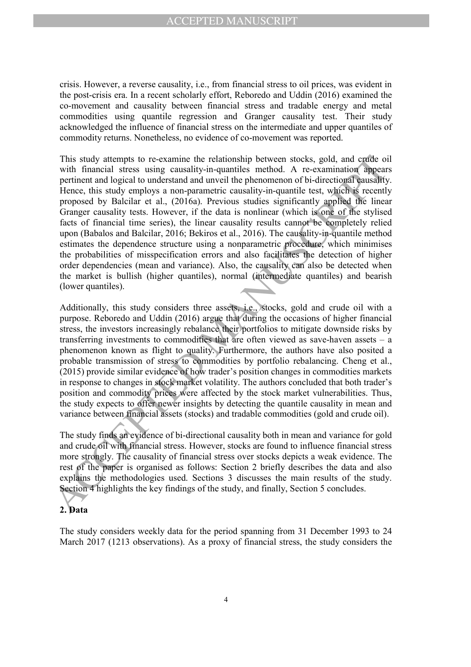crisis. However, a reverse causality, i.e., from financial stress to oil prices, was evident in the post-crisis era. In a recent scholarly effort, Reboredo and Uddin (2016) examined the co-movement and causality between financial stress and tradable energy and metal commodities using quantile regression and Granger causality test. Their study acknowledged the influence of financial stress on the intermediate and upper quantiles of commodity returns. Nonetheless, no evidence of co-movement was reported.

This tatty attempts to re-axemine the relationship between stocks, gold, and egites of the stationary diperpentation of the stationary different and logical to understand and unveil the phenomenon of bi-directional quasil This study attempts to re-examine the relationship between stocks, gold, and crude oil with financial stress using causality-in-quantiles method. A re-examination appears pertinent and logical to understand and unveil the phenomenon of bi-directional causality. Hence, this study employs a non-parametric causality-in-quantile test, which is recently proposed by Balcilar et al., (2016a). Previous studies significantly applied the linear Granger causality tests. However, if the data is nonlinear (which is one of the stylised facts of financial time series), the linear causality results cannot be completely relied upon (Babalos and Balcilar, 2016; Bekiros et al., 2016). The causality-in-quantile method estimates the dependence structure using a nonparametric procedure, which minimises the probabilities of misspecification errors and also facilitates the detection of higher order dependencies (mean and variance). Also, the causality can also be detected when the market is bullish (higher quantiles), normal (intermediate quantiles) and bearish (lower quantiles).

Additionally, this study considers three assets, i.e., stocks, gold and crude oil with a purpose. Reboredo and Uddin (2016) argue that during the occasions of higher financial stress, the investors increasingly rebalance their portfolios to mitigate downside risks by transferring investments to commodities that are often viewed as save-haven assets – a phenomenon known as flight to quality. Furthermore, the authors have also posited a probable transmission of stress to commodities by portfolio rebalancing. Cheng et al., (2015) provide similar evidence of how trader's position changes in commodities markets in response to changes in stock market volatility. The authors concluded that both trader's position and commodity prices were affected by the stock market vulnerabilities. Thus, the study expects to offer newer insights by detecting the quantile causality in mean and variance between financial assets (stocks) and tradable commodities (gold and crude oil).

The study finds an evidence of bi-directional causality both in mean and variance for gold and crude oil with financial stress. However, stocks are found to influence financial stress more strongly. The causality of financial stress over stocks depicts a weak evidence. The rest of the paper is organised as follows: Section 2 briefly describes the data and also explains the methodologies used. Sections 3 discusses the main results of the study. Section 4 highlights the key findings of the study, and finally, Section 5 concludes.

# 2. Data

The study considers weekly data for the period spanning from 31 December 1993 to 24 March 2017 (1213 observations). As a proxy of financial stress, the study considers the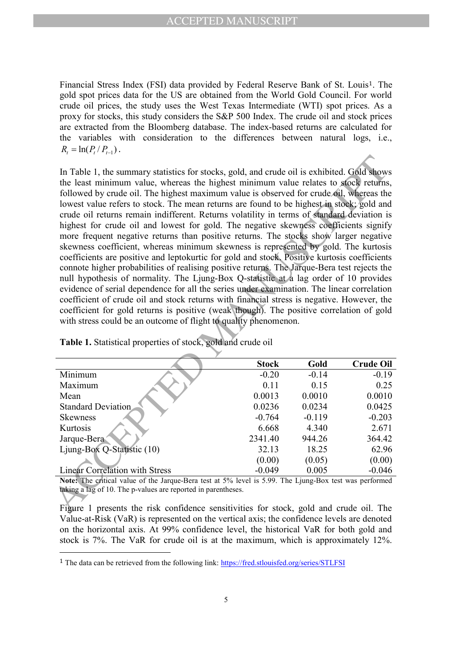Financial Stress Index (FSI) data provided by Federal Reserve Bank of St. Louis<sup>1</sup>. The gold spot prices data for the US are obtained from the World Gold Council. For world crude oil prices, the study uses the West Texas Intermediate (WTI) spot prices. As a proxy for stocks, this study considers the S&P 500 Index. The crude oil and stock prices are extracted from the Bloomberg database. The index-based returns are calculated for the variables with consideration to the differences between natural logs, i.e.,  $R_t = \ln(P_t / P_{t-1})$ .

In Table 1, the summary statistics for stocks, gold, and crude oil is exhibited. Gold shows<br>the least minimum value, whereas the highest minimum value relates to sock returns,<br>solitowed by crude oil. The highest maximum v In Table 1, the summary statistics for stocks, gold, and crude oil is exhibited. Gold shows the least minimum value, whereas the highest minimum value relates to stock returns, followed by crude oil. The highest maximum value is observed for crude oil, whereas the lowest value refers to stock. The mean returns are found to be highest in stock; gold and crude oil returns remain indifferent. Returns volatility in terms of standard deviation is highest for crude oil and lowest for gold. The negative skewness coefficients signify more frequent negative returns than positive returns. The stocks show larger negative skewness coefficient, whereas minimum skewness is represented by gold. The kurtosis coefficients are positive and leptokurtic for gold and stock. Positive kurtosis coefficients connote higher probabilities of realising positive returns. The Jarque-Bera test rejects the null hypothesis of normality. The Ljung-Box Q-statistic at a lag order of 10 provides evidence of serial dependence for all the series under examination. The linear correlation coefficient of crude oil and stock returns with financial stress is negative. However, the coefficient for gold returns is positive (weak though). The positive correlation of gold with stress could be an outcome of flight to quality phenomenon.

|                                       | <b>Stock</b> | Gold     | <b>Crude Oil</b> |
|---------------------------------------|--------------|----------|------------------|
| Minimum                               | $-0.20$      | $-0.14$  | $-0.19$          |
| Maximum                               | 0.11         | 0.15     | 0.25             |
| Mean                                  | 0.0013       | 0.0010   | 0.0010           |
| <b>Standard Deviation</b>             | 0.0236       | 0.0234   | 0.0425           |
| <b>Skewness</b>                       | $-0.764$     | $-0.119$ | $-0.203$         |
| Kurtosis                              | 6.668        | 4.340    | 2.671            |
| Jarque-Bera                           | 2341.40      | 944.26   | 364.42           |
| Ljung-Box Q-Statistic (10)            | 32.13        | 18.25    | 62.96            |
|                                       | (0.00)       | (0.05)   | (0.00)           |
| <b>Linear Correlation with Stress</b> | $-0.049$     | 0.005    | $-0.046$         |

Table 1. Statistical properties of stock, gold and crude oil

Note: The critical value of the Jarque-Bera test at 5% level is 5.99. The Ljung-Box test was performed taking a lag of 10. The p-values are reported in parentheses.

Figure 1 presents the risk confidence sensitivities for stock, gold and crude oil. The Value-at-Risk (VaR) is represented on the vertical axis; the confidence levels are denoted on the horizontal axis. At 99% confidence level, the historical VaR for both gold and stock is 7%. The VaR for crude oil is at the maximum, which is approximately 12%.

j

<sup>1</sup> The data can be retrieved from the following link: https://fred.stlouisfed.org/series/STLFSI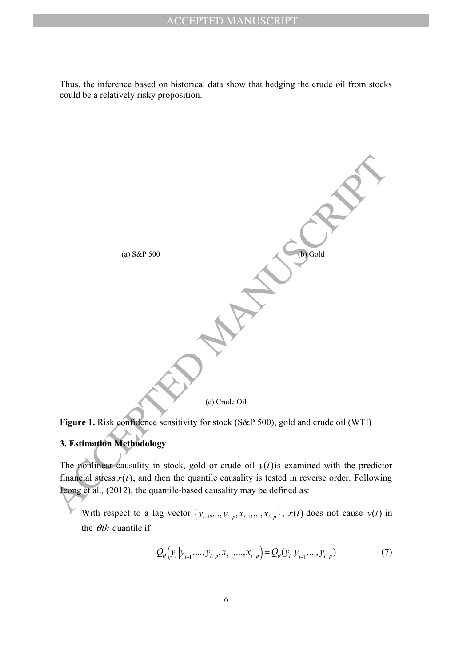Thus, the inference based on historical data show that hedging the crude oil from stocks could be a relatively risky proposition.



Figure 1. Risk confidence sensitivity for stock (S&P 500), gold and crude oil (WTI)

# 3. Estimation Methodology

The nonlinear causality in stock, gold or crude oil  $y(t)$  is examined with the predictor financial stress  $x(t)$ , and then the quantile causality is tested in reverse order. Following Jeong et al., (2012), the quantile-based causality may be defined as:

With respect to a lag vector  $\{y_{t-1},..., y_{t-p}, x_{t-1},..., x_{t-p}\}$ ,  $x(t)$  does not cause  $y(t)$  in the  $\theta$ th quantile if

$$
Q_{\theta}(y_t | y_{t-1}, ..., y_{t-p}, x_{t-1}, ..., x_{t-p}) = Q_{\theta}(y_t | y_{t-1}, ..., y_{t-p})
$$
\n<sup>(7)</sup>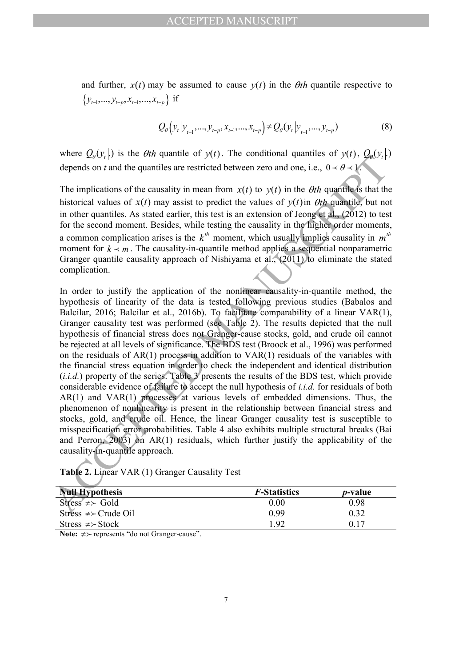and further,  $x(t)$  may be assumed to cause  $y(t)$  in the  $\theta$ th quantile respective to  $\{y_{t-1},...,y_{t-p},x_{t-1},...,x_{t-p}\}\text{ if }$ 

$$
Q_{\theta}(y_t | y_{t-1}, ..., y_{t-p}, x_{t-1}, ..., x_{t-p}) \neq Q_{\theta}(y_t | y_{t-1}, ..., y_{t-p})
$$
\n(8)

where  $Q_{\theta}(y_t|)$  is the *Oth* quantile of  $y(t)$ . The conditional quantiles of  $y(t)$ ,  $Q_{\theta}(y_t|)$ depends on t and the quantiles are restricted between zero and one, i.e.,  $0 \lt \theta \lt 1$ .

The implications of the causality in mean from  $x(t)$  to  $y(t)$  in the  $\theta$ th quantile is that the historical values of  $x(t)$  may assist to predict the values of  $y(t)$  in  $\theta$ th quantile, but not in other quantiles. As stated earlier, this test is an extension of Jeong et al., (2012) to test for the second moment. Besides, while testing the causality in the higher order moments, a common complication arises is the  $k^{th}$  moment, which usually implies causality in  $m^{th}$ moment for  $k \prec m$ . The causality-in-quantile method applies a sequential nonparametric Granger quantile causality approach of Nishiyama et al., (2011) to eliminate the stated complication.

where  $Z_0(t_f)$  is not early usaming or  $\eta$ , i.e. containing summates or  $\eta(t)$ , the section of the causality in mean from  $x(t)$  in the *OHA* quantiles that the historical values of  $x(t)$  may assist to predict the values In order to justify the application of the nonlinear causality-in-quantile method, the hypothesis of linearity of the data is tested following previous studies (Babalos and Balcilar, 2016; Balcilar et al., 2016b). To facilitate comparability of a linear VAR(1), Granger causality test was performed (see Table 2). The results depicted that the null hypothesis of financial stress does not Granger-cause stocks, gold, and crude oil cannot be rejected at all levels of significance. The BDS test (Broock et al., 1996) was performed on the residuals of  $AR(1)$  process in addition to  $VAR(1)$  residuals of the variables with the financial stress equation in order to check the independent and identical distribution  $(i.i.d.)$  property of the series. Table 3 presents the results of the BDS test, which provide considerable evidence of failure to accept the null hypothesis of i.i.d. for residuals of both AR(1) and VAR(1) processes at various levels of embedded dimensions. Thus, the phenomenon of nonlinearity is present in the relationship between financial stress and stocks, gold, and crude oil. Hence, the linear Granger causality test is susceptible to misspecification error probabilities. Table 4 also exhibits multiple structural breaks (Bai and Perron, 2003) on AR(1) residuals, which further justify the applicability of the causality-in-quantile approach.

| Table 2. Linear VAR (1) Granger Causality Test |  |  |  |  |
|------------------------------------------------|--|--|--|--|
|------------------------------------------------|--|--|--|--|

| <b>Null Hypothesis</b>           | <i>F</i> -Statistics | <i>p</i> -value |
|----------------------------------|----------------------|-----------------|
| $\text{Stress} \neq \text{Gold}$ | 0.00                 | 0.98            |
| Stress $\neq$ Crude Oil          | 0.99                 | 0.32            |
| Stress $\neq$ Stock              | l 92                 | 0.17            |

Note:  $\neq$  represents "do not Granger-cause".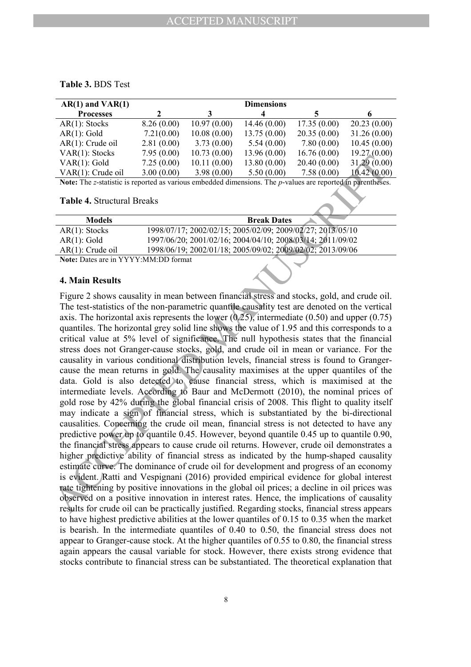#### Table 3. BDS Test

| $AR(1)$ and $VAR(1)$ |            |             | <b>Dimensions</b> |             |             |
|----------------------|------------|-------------|-------------------|-------------|-------------|
| <b>Processes</b>     | 2          | 3           | 4                 |             | 6           |
| $AR(1)$ : Stocks     | 8.26(0.00) | 10.97(0.00) | 14.46(0.00)       | 17.35(0.00) | 20.23(0.00) |
| $AR(1)$ : Gold       | 7.21(0.00) | 10.08(0.00) | 13.75(0.00)       | 20.35(0.00) | 31.26(0.00) |
| $AR(1)$ : Crude oil  | 2.81(0.00) | 3.73(0.00)  | 5.54(0.00)        | 7.80(0.00)  | 10.45(0.00) |
| VAR(1): Stocks       | 7.95(0.00) | 10.73(0.00) | 13.96(0.00)       | 16.76(0.00) | 19.27(0.00) |
| VAR(1): Gold         | 7.25(0.00) | 10.11(0.00) | 13.80(0.00)       | 20.40(0.00) | 31,29(0.00) |
| VAR(1): Crude oil    | 3.00(0.00) | 3.98(0.00)  | 5.50(0.00)        | 7.58(0.00)  | 10.42(0.00) |

Note: The z-statistic is reported as various embedded dimensions. The *p*-values are reported in parentheses.

#### Table 4. Structural Breaks

| <b>Models</b>                               | <b>Break Dates</b>                                         |  |
|---------------------------------------------|------------------------------------------------------------|--|
| $AR(1)$ : Stocks                            | 1998/07/17; 2002/02/15; 2005/02/09; 2009/02/27; 2013/05/10 |  |
| $AR(1)$ : Gold                              | 1997/06/20; 2001/02/16; 2004/04/10; 2008/03/14; 2011/09/02 |  |
| $AR(1)$ : Crude oil                         | 1998/06/19; 2002/01/18; 2005/09/02; 2009/02/02; 2013/09/06 |  |
| <b>Note:</b> Dates are in YYYY:MM:DD format |                                                            |  |

## 4. Main Results

VARI): Gold<br>
7.25 (000) 10.11 (000) 13.80 (000) 20.40 (000) 31.82<br>
VARI): Gold<br>
7.25 (000) 10.11 (000) 15.80 (000) 2.74 (0.00) 12.8<br>
VARI): Cold<br>
7.25 (000) 1.95 (0.00) 1.75 (0.00) 1.75 (0.00) 1.75 (0.00) 1.75 (0.00) 1.75 Figure 2 shows causality in mean between financial stress and stocks, gold, and crude oil. The test-statistics of the non-parametric quantile causality test are denoted on the vertical axis. The horizontal axis represents the lower  $(0.25)$ , intermediate  $(0.50)$  and upper  $(0.75)$ quantiles. The horizontal grey solid line shows the value of 1.95 and this corresponds to a critical value at 5% level of significance. The null hypothesis states that the financial stress does not Granger-cause stocks, gold, and crude oil in mean or variance. For the causality in various conditional distribution levels, financial stress is found to Grangercause the mean returns in gold. The causality maximises at the upper quantiles of the data. Gold is also detected to cause financial stress, which is maximised at the intermediate levels. According to Baur and McDermott (2010), the nominal prices of gold rose by 42% during the global financial crisis of 2008. This flight to quality itself may indicate a sign of financial stress, which is substantiated by the bi-directional causalities. Concerning the crude oil mean, financial stress is not detected to have any predictive power up to quantile 0.45. However, beyond quantile 0.45 up to quantile 0.90, the financial stress appears to cause crude oil returns. However, crude oil demonstrates a higher predictive ability of financial stress as indicated by the hump-shaped causality estimate curve. The dominance of crude oil for development and progress of an economy is evident. Ratti and Vespignani (2016) provided empirical evidence for global interest rate tightening by positive innovations in the global oil prices; a decline in oil prices was observed on a positive innovation in interest rates. Hence, the implications of causality results for crude oil can be practically justified. Regarding stocks, financial stress appears to have highest predictive abilities at the lower quantiles of 0.15 to 0.35 when the market is bearish. In the intermediate quantiles of 0.40 to 0.50, the financial stress does not appear to Granger-cause stock. At the higher quantiles of 0.55 to 0.80, the financial stress again appears the causal variable for stock. However, there exists strong evidence that stocks contribute to financial stress can be substantiated. The theoretical explanation that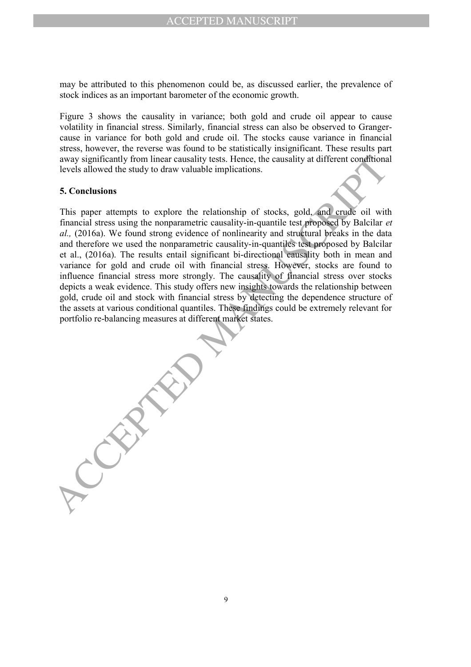may be attributed to this phenomenon could be, as discussed earlier, the prevalence of stock indices as an important barometer of the economic growth.

Figure 3 shows the causality in variance; both gold and crude oil appear to cause volatility in financial stress. Similarly, financial stress can also be observed to Grangercause in variance for both gold and crude oil. The stocks cause variance in financial stress, however, the reverse was found to be statistically insignificant. These results part away significantly from linear causality tests. Hence, the causality at different conditional levels allowed the study to draw valuable implications.

## 5. Conclusions

away significantly from linear causality tests. Hence, the causality at different conditional<br>levels allowed the study to draw valuable implications.<br>
5. Conclusions<br>
This paper attempts to explore the relationship of stoc This paper attempts to explore the relationship of stocks, gold, and crude oil with financial stress using the nonparametric causality-in-quantile test proposed by Balcilar et al., (2016a). We found strong evidence of nonlinearity and structural breaks in the data and therefore we used the nonparametric causality-in-quantiles test proposed by Balcilar et al., (2016a). The results entail significant bi-directional causality both in mean and variance for gold and crude oil with financial stress. However, stocks are found to influence financial stress more strongly. The causality of financial stress over stocks depicts a weak evidence. This study offers new insights towards the relationship between gold, crude oil and stock with financial stress by detecting the dependence structure of the assets at various conditional quantiles. These findings could be extremely relevant for portfolio re-balancing measures at different market states.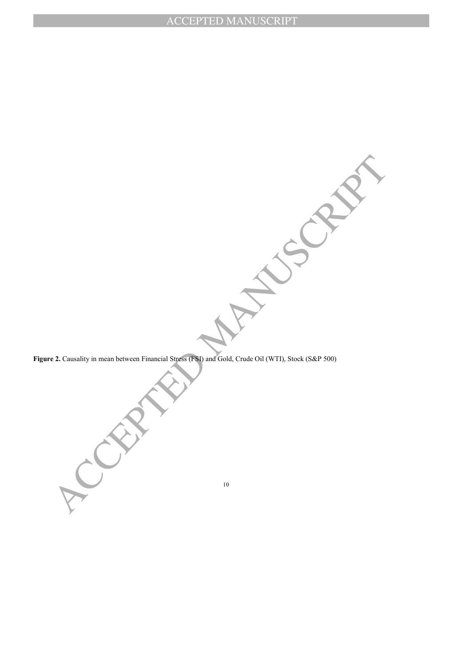ACCEPTED MANUSCRIPT

Figure 2. Causality in mean between Financial Stress (FSI) and Gold, Crude Oil (WTI), Stock (S&P 500)

10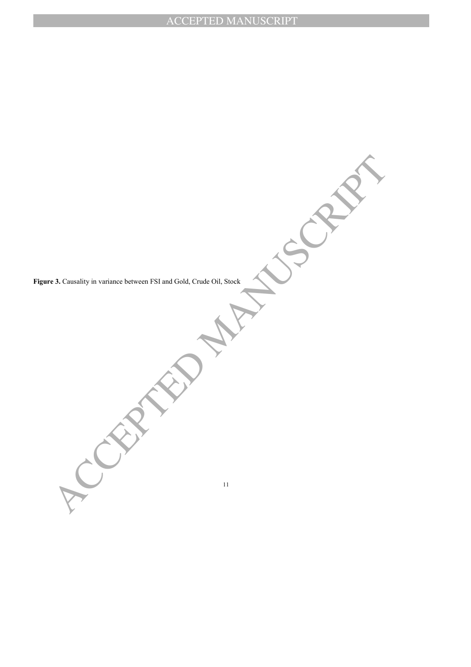ACCEPTED MANUSCRIPT Figure 3. Causality in variance between FSI and Gold, Crude Oil, Stock

11